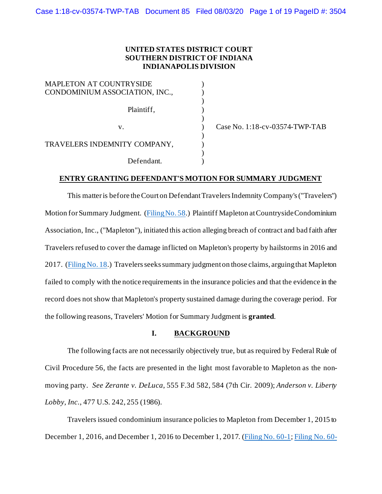## **UNITED STATES DISTRICT COURT SOUTHERN DISTRICT OF INDIANA INDIANAPOLIS DIVISION**

) ) )

)<br>)

 $\frac{1}{\sqrt{2}}$ 

)

| <b>MAPLETON AT COUNTRYSIDE</b><br>CONDOMINIUM ASSOCIATION, INC., |  |
|------------------------------------------------------------------|--|
| Plaintiff,                                                       |  |
| $V_{-}$                                                          |  |
| TRAVELERS INDEMNITY COMPANY,                                     |  |
| Defendant.                                                       |  |

Case No. 1:18-cv-03574-TWP-TAB

# **ENTRY GRANTING DEFENDANT'S MOTION FOR SUMMARY JUDGMENT**

This matter is before the Court on Defendant Travelers Indemnity Company's ("Travelers") Motion for Summary Judgment. [\(Filing No. 58.](https://ecf.insd.uscourts.gov/doc1/07317933710)) Plaintiff Mapleton at Countryside Condominium Association, Inc., ("Mapleton"), initiated this action alleging breach of contract and bad faith after Travelers refused to cover the damage inflicted on Mapleton's property by hailstorms in 2016 and 2017. [\(Filing No. 18.](https://ecf.insd.uscourts.gov/doc1/07317010248)) Travelers seeks summary judgment on those claims, arguingthat Mapleton failed to comply with the notice requirements in the insurance policies and that the evidence in the record does not show that Mapleton's property sustained damage during the coverage period. For the following reasons, Travelers' Motion for Summary Judgment is **granted**.

# **I. BACKGROUND**

The following facts are not necessarily objectively true, but as required by Federal Rule of Civil Procedure 56, the facts are presented in the light most favorable to Mapleton as the nonmoving party. *See Zerante v. DeLuca*, 555 F.3d 582, 584 (7th Cir. 2009); *Anderson v. Liberty Lobby, Inc.*, 477 U.S. 242, 255 (1986).

Travelers issued condominium insurance policies to Mapleton from December 1, 2015 to December 1, 2016, and December 1, 2016 to December 1, 2017. [\(Filing No. 60-1](https://ecf.insd.uscourts.gov/doc1/07317933911)[; Filing No. 60-](https://ecf.insd.uscourts.gov/doc1/07317933912)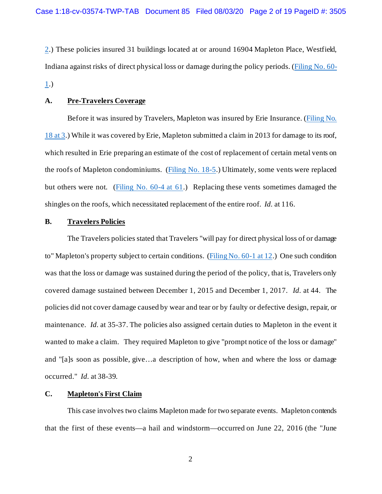[2.](https://ecf.insd.uscourts.gov/doc1/07317933912)) These policies insured 31 buildings located at or around 16904 Mapleton Place, Westfield, Indiana against risks of direct physical loss or damage during the policy periods. [\(Filing No. 60-](https://ecf.insd.uscourts.gov/doc1/07317933911) [1.](https://ecf.insd.uscourts.gov/doc1/07317933911))

### **A. Pre-Travelers Coverage**

Before it was insured by Travelers, Mapleton was insured by Erie Insurance. [\(Filing No.](https://ecf.insd.uscourts.gov/doc1/07317010248?page=3)  [18 at 3.](https://ecf.insd.uscourts.gov/doc1/07317010248?page=3)) While it was covered by Erie, Mapleton submitted a claim in 2013 for damage to its roof, which resulted in Erie preparing an estimate of the cost of replacement of certain metal vents on the roofs of Mapleton condominiums. [\(Filing No. 18-5.](https://ecf.insd.uscourts.gov/doc1/07317010253)) Ultimately, some vents were replaced but others were not. [\(Filing No. 60-4 at 61.](https://ecf.insd.uscourts.gov/doc1/07317933914?page=61)) Replacing these vents sometimes damaged the shingles on the roofs, which necessitated replacement of the entire roof. *Id.* at 116.

### **B. Travelers Policies**

The Travelers policies stated that Travelers "will pay for direct physical loss of or damage to" Mapleton's property subject to certain conditions. [\(Filing No. 60-1 at 12.](https://ecf.insd.uscourts.gov/doc1/07317933911?page=12)) One such condition was that the loss or damage was sustained during the period of the policy, that is, Travelers only covered damage sustained between December 1, 2015 and December 1, 2017. *Id.* at 44. The policies did not cover damage caused by wear and tear or by faulty or defective design, repair, or maintenance. *Id.* at 35-37. The policies also assigned certain duties to Mapleton in the event it wanted to make a claim. They required Mapleton to give "prompt notice of the loss or damage" and "[a]s soon as possible, give…a description of how, when and where the loss or damage occurred." *Id.* at 38-39.

## **C. Mapleton's First Claim**

This case involves two claims Mapleton made for two separate events. Mapleton contends that the first of these events—a hail and windstorm—occurred on June 22, 2016 (the "June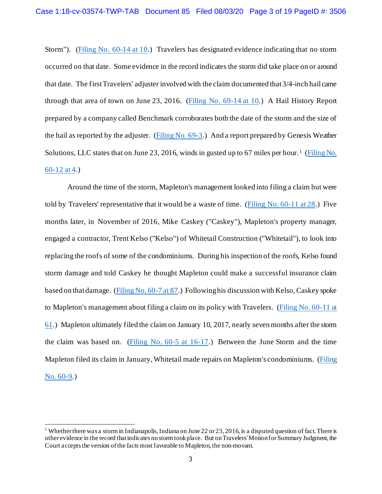Storm"). [\(Filing No. 60-14 at 10.](https://ecf.insd.uscourts.gov/doc1/07317933924?page=10)) Travelers has designated evidence indicating that no storm occurred on that date. Some evidence in the record indicates the storm did take place on or around that date. The first Travelers' adjuster involved with the claim documented that 3/4-inch hail came through that area of town on June 23, 2016. (Filing No.  $69-14$  at 10.) A Hail History Report prepared by a company called Benchmark corroborates both the date of the storm and the size of the hail as reported by the adjuster. [\(Filing No. 69-3.](https://ecf.insd.uscourts.gov/doc1/07317999252)) And a report prepared by Genesis Weather Solutions, LLC states that on June 23, 20[1](#page-2-0)6, winds in gusted up to 67 miles per hour.<sup>1</sup> (Filing No.) [60-12 at 4.](https://ecf.insd.uscourts.gov/doc1/07317933922?page=4))

Around the time of the storm, Mapleton's management looked into filing a claim but were told by Travelers' representative that it would be a waste of time. [\(Filing No. 60-11 at 28.](https://ecf.insd.uscourts.gov/doc1/07317933921?page=28)) Five months later, in November of 2016, Mike Caskey ("Caskey"), Mapleton's property manager, engaged a contractor, Trent Kelso ("Kelso") of Whitetail Construction ("Whitetail"), to look into replacing the roofs of some of the condominiums. During his inspection of the roofs, Kelso found storm damage and told Caskey he thought Mapleton could make a successful insurance claim based on that damage. [\(Filing No. 60-7 at 87.](https://ecf.insd.uscourts.gov/doc1/07317933917?page=87)) Following his discussion with Kelso, Caskey spoke to Mapleton's management about filing a claim on its policy with Travelers. [\(Filing No. 60-11 at](https://ecf.insd.uscourts.gov/doc1/07317933921?page=61)  [61.](https://ecf.insd.uscourts.gov/doc1/07317933921?page=61)) Mapleton ultimately filed the claim on January 10, 2017, nearly seven months after the storm the claim was based on. [\(Filing No. 60-5 at 16-17.](https://ecf.insd.uscourts.gov/doc1/07317933915?page=16)) Between the June Storm and the time Mapleton filed its claim in January, Whitetail made repairs on Mapleton's condominiums. [\(Filing](https://ecf.insd.uscourts.gov/doc1/07317933919)  [No. 60-9.](https://ecf.insd.uscourts.gov/doc1/07317933919))

<span id="page-2-0"></span><sup>&</sup>lt;sup>1</sup> Whether there was a storm in Indianapolis, Indiana on June 22 or 23, 2016, is a disputed question of fact. There is other evidence in the record that indicates no storm took place. But on Travelers' Motion for Summary Judgment, the Court accepts the version of the facts most favorable to Mapleton, the non-movant.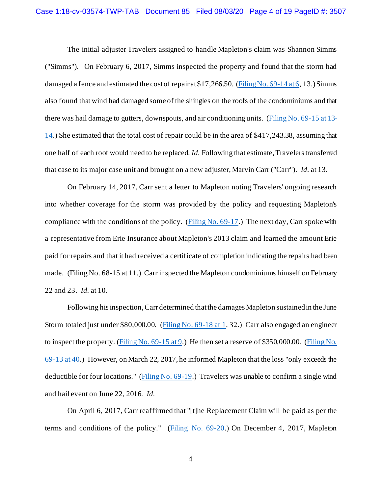The initial adjuster Travelers assigned to handle Mapleton's claim was Shannon Simms ("Simms"). On February 6, 2017, Simms inspected the property and found that the storm had damaged a fence and estimated the cost of repair at  $17,266.50$ . [\(Filing No. 69-14 at 6,](https://ecf.insd.uscourts.gov/doc1/07317999263?page=6) 13.) Simms also found that wind had damaged some of the shingles on the roofs of the condominiums and that there was hail damage to gutters, downspouts, and air conditioning units. [\(Filing No. 69-15 at 13-](https://ecf.insd.uscourts.gov/doc1/07317999264?page=13) [14.](https://ecf.insd.uscourts.gov/doc1/07317999264?page=13)) She estimated that the total cost of repair could be in the area of \$417,243.38, assuming that one half of each roof would need to be replaced. *Id.* Following that estimate, Travelers transferred that case to its major case unit and brought on a new adjuster, Marvin Carr ("Carr"). *Id.* at 13.

On February 14, 2017, Carr sent a letter to Mapleton noting Travelers' ongoing research into whether coverage for the storm was provided by the policy and requesting Mapleton's compliance with the conditions of the policy. [\(Filing No. 69-17.](https://ecf.insd.uscourts.gov/doc1/07317999266)) The next day, Carr spoke with a representative from Erie Insurance about Mapleton's 2013 claim and learned the amount Erie paid for repairs and that it had received a certificate of completion indicating the repairs had been made. (Filing No. 68-15 at 11.) Carr inspected the Mapleton condominiums himself on February 22 and 23. *Id.* at 10.

Following his inspection, Carr determined that the damages Mapleton sustained in the June Storm totaled just under \$80,000.00. [\(Filing No. 69-18 at 1,](https://ecf.insd.uscourts.gov/doc1/07317999267?page=1) 32.) Carr also engaged an engineer to inspect the property. [\(Filing No. 69-15 at 9.](https://ecf.insd.uscourts.gov/doc1/07317999264?page=9)) He then set a reserve of \$350,000.00. [\(Filing No.](https://ecf.insd.uscourts.gov/doc1/07317999262?page=40)  [69-13 at 40.](https://ecf.insd.uscourts.gov/doc1/07317999262?page=40)) However, on March 22, 2017, he informed Mapleton that the loss "only exceeds the deductible for four locations." [\(Filing No. 69-19](https://ecf.insd.uscourts.gov/doc1/07317999268).) Travelers was unable to confirm a single wind and hail event on June 22, 2016. *Id.*

On April 6, 2017, Carr reaffirmed that "[t]he Replacement Claim will be paid as per the terms and conditions of the policy." [\(Filing No. 69-20.](https://ecf.insd.uscourts.gov/doc1/07317999269)) On December 4, 2017, Mapleton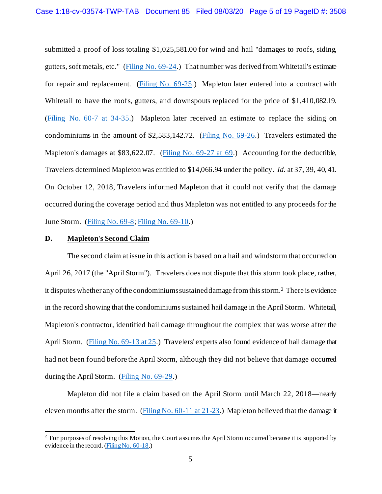submitted a proof of loss totaling \$1,025,581.00 for wind and hail "damages to roofs, siding, gutters, soft metals, etc." [\(Filing No. 69-24](https://ecf.insd.uscourts.gov/doc1/07317999273).) That number was derived from Whitetail's estimate for repair and replacement. [\(Filing No. 69-25.](https://ecf.insd.uscourts.gov/doc1/07317999274)) Mapleton later entered into a contract with Whitetail to have the roofs, gutters, and downspouts replaced for the price of \$1,410,082.19. [\(Filing No. 60-7 at 34-35.](https://ecf.insd.uscourts.gov/doc1/07317933917?page=34)) Mapleton later received an estimate to replace the siding on condominiums in the amount of \$2,583,142.72. [\(Filing No. 69-26.](https://ecf.insd.uscourts.gov/doc1/07317999275)) Travelers estimated the Mapleton's damages at \$83,622.07. [\(Filing No. 69-27 at 69.](https://ecf.insd.uscourts.gov/doc1/07317999276?page=69)) Accounting for the deductible, Travelers determined Mapleton was entitled to \$14,066.94 under the policy. *Id.* at 37, 39, 40, 41. On October 12, 2018, Travelers informed Mapleton that it could not verify that the damage occurred during the coverage period and thus Mapleton was not entitled to any proceeds for the June Storm. [\(Filing No. 69-8;](https://ecf.insd.uscourts.gov/doc1/07317999257) [Filing No. 69-10.](https://ecf.insd.uscourts.gov/doc1/07317999259))

#### **D. Mapleton's Second Claim**

The second claim at issue in this action is based on a hail and windstorm that occurred on April 26, 2017 (the "April Storm"). Travelers does not dispute that this storm took place, rather, it disputes whether any of the condominiums sustained damage from thisstorm[.2](#page-4-0) There is evidence in the record showing that the condominiums sustained hail damage in the April Storm. Whitetail, Mapleton's contractor, identified hail damage throughout the complex that was worse after the April Storm. [\(Filing No. 69-13 at 25.](https://ecf.insd.uscourts.gov/doc1/07317999262?page=25)) Travelers' experts also found evidence of hail damage that had not been found before the April Storm, although they did not believe that damage occurred during the April Storm. [\(Filing No. 69-29.](https://ecf.insd.uscourts.gov/doc1/07317999278))

Mapleton did not file a claim based on the April Storm until March 22, 2018—nearly eleven months after the storm. [\(Filing No. 60-11 at 21-23](https://ecf.insd.uscourts.gov/doc1/07317933921?page=21).) Mapleton believed that the damage it

<span id="page-4-0"></span><sup>&</sup>lt;sup>2</sup> For purposes of resolving this Motion, the Court assumes the April Storm occurred because it is supported by evidence in the record. [\(Filing No. 60-18](https://ecf.insd.uscourts.gov/doc1/07317933928).)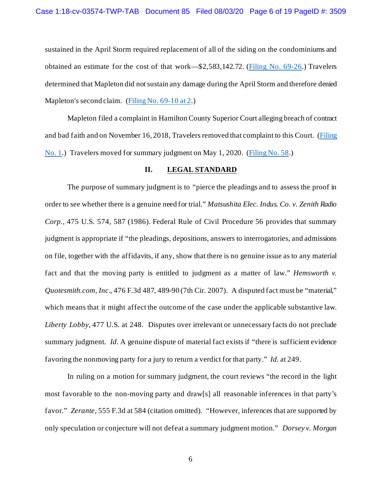sustained in the April Storm required replacement of all of the siding on the condominiums and obtained an estimate for the cost of that work—\$2,583,142.72. [\(Filing No. 69-26.](https://ecf.insd.uscourts.gov/doc1/07317999275)) Travelers determined that Mapleton did not sustain any damage during the April Storm and therefore denied Mapleton's second claim. [\(Filing No. 69-10 at 2.](https://ecf.insd.uscourts.gov/doc1/07317999259?page=2))

Mapleton filed a complaint in Hamilton County Superior Court alleging breach of contract and bad faith and on November 16, 2018, Travelers removed that complaint to this Court. [\(Filing](https://ecf.insd.uscourts.gov/doc1/07316913661)  [No. 1.](https://ecf.insd.uscourts.gov/doc1/07316913661)) Travelers moved for summary judgment on May 1, 2020. [\(Filing No. 58.](https://ecf.insd.uscourts.gov/doc1/07317933710))

### **II. LEGAL STANDARD**

The purpose of summary judgment is to "pierce the pleadings and to assess the proof in order to see whether there is a genuine need for trial." *Matsushita Elec. Indus. Co. v. Zenith Radio Corp.*, 475 U.S. 574, 587 (1986). Federal Rule of Civil Procedure 56 provides that summary judgment is appropriate if "the pleadings, depositions, answers to interrogatories, and admissions on file, together with the affidavits, if any, show that there is no genuine issue as to any material fact and that the moving party is entitled to judgment as a matter of law." *Hemsworth v. Quotesmith.com, Inc.*, 476 F.3d 487, 489-90 (7th Cir. 2007). A disputed fact must be "material," which means that it might affect the outcome of the case under the applicable substantive law. *Liberty Lobby*, 477 U.S. at 248. Disputes over irrelevant or unnecessary facts do not preclude summary judgment. *Id.* A genuine dispute of material fact exists if "there is sufficient evidence" favoring the nonmoving party for a jury to return a verdict for that party." *Id.* at 249.

In ruling on a motion for summary judgment, the court reviews "the record in the light most favorable to the non-moving party and draw[s] all reasonable inferences in that party's favor." *Zerante*, 555 F.3d at 584 (citation omitted). "However, inferences that are supported by only speculation or conjecture will not defeat a summary judgment motion." *Dorsey v. Morgan*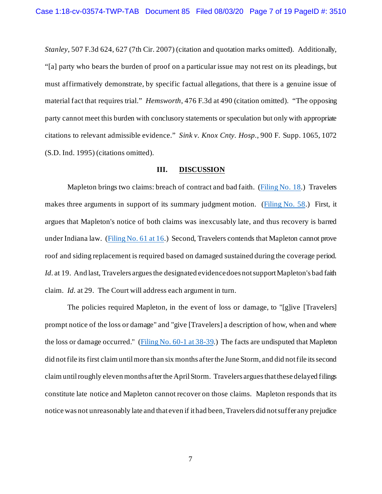*Stanley*, 507 F.3d 624, 627 (7th Cir. 2007) (citation and quotation marks omitted). Additionally, "[a] party who bears the burden of proof on a particular issue may not rest on its pleadings, but must affirmatively demonstrate, by specific factual allegations, that there is a genuine issue of material fact that requires trial." *Hemsworth*, 476 F.3d at 490 (citation omitted). "The opposing party cannot meet this burden with conclusory statements or speculation but only with appropriate citations to relevant admissible evidence." *Sink v. Knox Cnty. Hosp.*, 900 F. Supp. 1065, 1072 (S.D. Ind. 1995) (citations omitted).

# **III. DISCUSSION**

Mapleton brings two claims: breach of contract and bad faith. [\(Filing No. 18.](https://ecf.insd.uscourts.gov/doc1/07317010248)) Travelers makes three arguments in support of its summary judgment motion. [\(Filing No. 58.](https://ecf.insd.uscourts.gov/doc1/07317933710)) First, it argues that Mapleton's notice of both claims was inexcusably late, and thus recovery is barred under Indiana law. [\(Filing No. 61 at 16](https://ecf.insd.uscourts.gov/doc1/07317933937?page=16).) Second, Travelers contends that Mapleton cannot prove roof and siding replacement is required based on damaged sustained during the coverage period. *Id.* at 19. And last, Travelers argues the designated evidence does not support Mapleton's bad faith claim. *Id.* at 29. The Court will address each argument in turn.

The policies required Mapleton, in the event of loss or damage, to "[g]ive [Travelers] prompt notice of the loss or damage" and "give [Travelers] a description of how, when and where the loss or damage occurred." [\(Filing No. 60-1 at 38-39.](https://ecf.insd.uscourts.gov/doc1/07317933911?page=38)) The facts are undisputed that Mapleton did not file its first claim until more than six months after the June Storm, and did not file its second claim until roughly eleven months after the AprilStorm. Travelers argues that these delayed filings constitute late notice and Mapleton cannot recover on those claims. Mapleton responds that its notice was not unreasonably late and that even if it had been, Travelers did not suffer any prejudice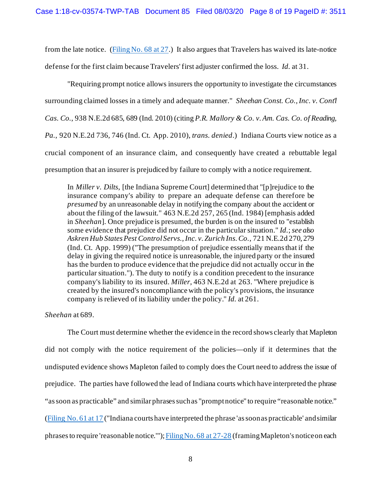from the late notice. [\(Filing No. 68 at 27.](https://ecf.insd.uscourts.gov/doc1/07317999246?page=27)) It also argues that Travelers has waived its late-notice defense for the first claim because Travelers' first adjuster confirmed the loss. *Id.* at 31.

"Requiring prompt notice allows insurers the opportunity to investigate the circumstances surrounding claimed losses in a timely and adequate manner." *Sheehan Const. Co., Inc. v. Cont'l Cas. Co.*, 938 N.E.2d 685, 689 (Ind. 2010) (citing *P.R. Mallory & Co. v. Am. Cas. Co. of Reading, Pa.*, 920 N.E.2d 736, 746 (Ind. Ct. App. 2010)*, trans. denied*.) Indiana Courts view notice as a crucial component of an insurance claim, and consequently have created a rebuttable legal presumption that an insurer is prejudiced by failure to comply with a notice requirement.

In *Miller v. Dilts*, [the Indiana Supreme Court] determined that "[p]rejudice to the insurance company's ability to prepare an adequate defense can therefore be *presumed* by an unreasonable delay in notifying the company about the accident or about the filing of the lawsuit." 463 N.E.2d 257, 265 (Ind. 1984) [emphasis added in *Sheehan*]. Once prejudice is presumed, the burden is on the insured to "establish some evidence that prejudice did not occur in the particular situation." *Id.*; *see also Askren Hub States Pest Control Servs., Inc. v. Zurich Ins. Co.*, 721 N.E.2d 270, 279 (Ind. Ct. App. 1999) ("The presumption of prejudice essentially means that if the delay in giving the required notice is unreasonable, the injured party or the insured has the burden to produce evidence that the prejudice did not actually occur in the particular situation."). The duty to notify is a condition precedent to the insurance company's liability to its insured. *Miller*, 463 N.E.2d at 263. "Where prejudice is created by the insured's noncompliance with the policy's provisions, the insurance company is relieved of its liability under the policy." *Id.* at 261.

# *Sheehan* at 689.

The Court must determine whether the evidence in the record shows clearly that Mapleton did not comply with the notice requirement of the policies—only if it determines that the undisputed evidence shows Mapleton failed to comply does the Court need to address the issue of prejudice. The parties have followed the lead of Indiana courts which have interpreted the phrase "as soon as practicable" and similar phrases such as "prompt notice" to require "reasonable notice." [\(Filing No. 61 at 17](https://ecf.insd.uscourts.gov/doc1/07317933937?page=17) ("Indiana courts have interpreted the phrase 'as soon as practicable' and similar phrases to require 'reasonable notice.'")[; Filing No. 68 at 27-28](https://ecf.insd.uscourts.gov/doc1/07317999246?page=27) (framing Mapleton's notice on each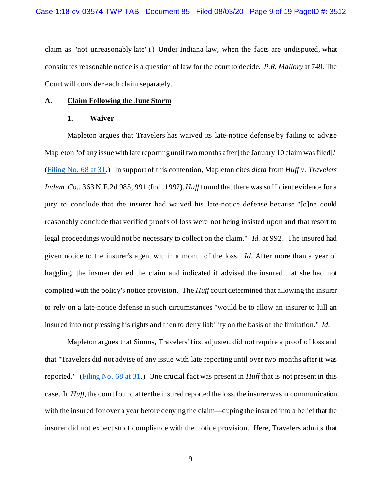claim as "not unreasonably late").) Under Indiana law, when the facts are undisputed, what constitutes reasonable notice is a question of law for the court to decide. *P.R. Mallory* at 749. The Court will consider each claim separately.

#### **A. Claim Following the June Storm**

#### **1. Waiver**

Mapleton argues that Travelers has waived its late-notice defense by failing to advise Mapleton "of any issue with late reporting until two months after [the January 10 claim was filed]." [\(Filing No. 68 at 31.](https://ecf.insd.uscourts.gov/doc1/07317999246?page=31)) In support of this contention, Mapleton cites *dicta* from *Huff v. Travelers Indem. Co.*, 363 N.E.2d 985, 991 (Ind. 1997). *Huff* found that there was sufficient evidence for a jury to conclude that the insurer had waived his late-notice defense because "[o]ne could reasonably conclude that verified proofs of loss were not being insisted upon and that resort to legal proceedings would not be necessary to collect on the claim." *Id.* at 992. The insured had given notice to the insurer's agent within a month of the loss. *Id.* After more than a year of haggling, the insurer denied the claim and indicated it advised the insured that she had not complied with the policy's notice provision. The *Huff* court determined that allowing the insurer to rely on a late-notice defense in such circumstances "would be to allow an insurer to lull an insured into not pressing his rights and then to deny liability on the basis of the limitation." *Id.*

Mapleton argues that Simms, Travelers' first adjuster, did not require a proof of loss and that "Travelers did not advise of any issue with late reporting until over two months after it was reported." [\(Filing No. 68 at 31.](https://ecf.insd.uscourts.gov/doc1/07317999246?page=31)) One crucial fact was present in *Huff* that is not present in this case. In *Huff*, the court found after the insured reported the loss, the insurer was in communication with the insured for over a year before denying the claim—duping the insured into a belief that the insurer did not expect strict compliance with the notice provision. Here, Travelers admits that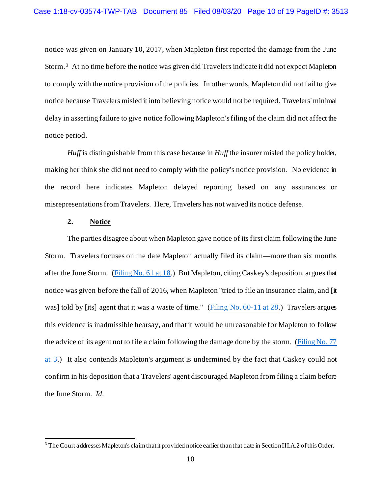notice was given on January 10, 2017, when Mapleton first reported the damage from the June Storm. [3](#page-9-0) At no time before the notice was given did Travelers indicate it did not expect Mapleton to comply with the notice provision of the policies. In other words, Mapleton did not fail to give notice because Travelers misled it into believing notice would not be required. Travelers' minimal delay in asserting failure to give notice following Mapleton's filing of the claim did not affect the notice period.

*Huff* is distinguishable from this case because in *Huff* the insurer misled the policy holder, making her think she did not need to comply with the policy's notice provision. No evidence in the record here indicates Mapleton delayed reporting based on any assurances or misrepresentations from Travelers. Here, Travelers has not waived its notice defense.

### **2. Notice**

The parties disagree about when Mapleton gave notice of its first claim following the June Storm. Travelers focuses on the date Mapleton actually filed its claim—more than six months after the June Storm. [\(Filing No. 61 at 18.](https://ecf.insd.uscourts.gov/doc1/07317933937?page=18)) But Mapleton, citing Caskey's deposition, argues that notice was given before the fall of 2016, when Mapleton "tried to file an insurance claim, and [it was] told by [its] agent that it was a waste of time." [\(Filing No. 60-11 at 28.](https://ecf.insd.uscourts.gov/doc1/07317933921?page=28)) Travelers argues this evidence is inadmissible hearsay, and that it would be unreasonable for Mapleton to follow the advice of its agent not to file a claim following the damage done by the storm. [\(Filing No. 77](https://ecf.insd.uscourts.gov/doc1/07318037377?page=3)  [at 3.](https://ecf.insd.uscourts.gov/doc1/07318037377?page=3)) It also contends Mapleton's argument is undermined by the fact that Caskey could not confirm in his deposition that a Travelers' agent discouraged Mapleton from filing a claim before the June Storm. *Id.*

<span id="page-9-0"></span><sup>&</sup>lt;sup>3</sup> The Court addresses Mapleton's claim that it provided notice earlier than that date in Section III.A.2 of this Order.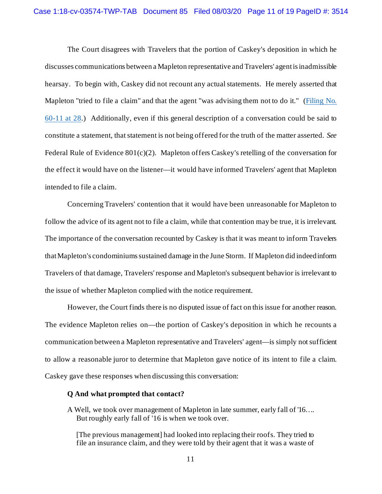The Court disagrees with Travelers that the portion of Caskey's deposition in which he discusses communications between a Mapleton representative and Travelers' agent is inadmissible hearsay. To begin with, Caskey did not recount any actual statements. He merely asserted that Mapleton "tried to file a claim" and that the agent "was advising them not to do it." (Filing No. [60-11 at 28.](https://ecf.insd.uscourts.gov/doc1/07317933921?page=28)) Additionally, even if this general description of a conversation could be said to constitute a statement, that statement is not being offered for the truth of the matter asserted. *See*  Federal Rule of Evidence 801(c)(2). Mapleton offers Caskey's retelling of the conversation for the effect it would have on the listener—it would have informed Travelers' agent that Mapleton intended to file a claim.

Concerning Travelers' contention that it would have been unreasonable for Mapleton to follow the advice of its agent not to file a claim, while that contention may be true, it is irrelevant. The importance of the conversation recounted by Caskey is that it was meant to inform Travelers that Mapleton's condominiumssustained damage in the June Storm. If Mapleton did indeed inform Travelers of that damage, Travelers' response and Mapleton's subsequent behavior is irrelevant to the issue of whether Mapleton complied with the notice requirement.

However, the Court finds there is no disputed issue of fact on this issue for another reason. The evidence Mapleton relies on—the portion of Caskey's deposition in which he recounts a communication between a Mapleton representative and Travelers' agent—is simply not sufficient to allow a reasonable juror to determine that Mapleton gave notice of its intent to file a claim. Caskey gave these responses when discussing this conversation:

#### **Q And what prompted that contact?**

A Well, we took over management of Mapleton in late summer, early fall of '16…. But roughly early fall of '16 is when we took over.

[The previous management] had looked into replacing their roofs. They tried to file an insurance claim, and they were told by their agent that it was a waste of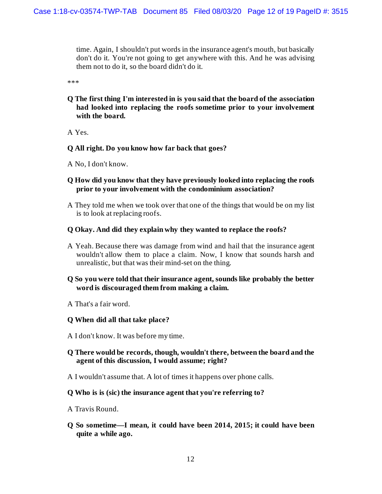time. Again, I shouldn't put words in the insurance agent's mouth, but basically don't do it. You're not going to get anywhere with this. And he was advising them not to do it, so the board didn't do it.

\*\*\*

**Q The first thing I'm interested in is you said that the board of the association had looked into replacing the roofs sometime prior to your involvement with the board.**

A Yes.

### **Q All right. Do you know how far back that goes?**

- A No, I don't know.
- **Q How did you know that they have previously looked into replacing the roofs prior to your involvement with the condominium association?**
- A They told me when we took over that one of the things that would be on my list is to look at replacing roofs.

#### **Q Okay. And did they explain why they wanted to replace the roofs?**

A Yeah. Because there was damage from wind and hail that the insurance agent wouldn't allow them to place a claim. Now, I know that sounds harsh and unrealistic, but that was their mind-set on the thing.

# **Q So you were told that their insurance agent, sounds like probably the better word is discouraged them from making a claim.**

A That's a fair word.

### **Q When did all that take place?**

- A I don't know. It was before my time.
- **Q There would be records, though, wouldn't there, between the board and the agent of this discussion, I would assume; right?**
- A I wouldn't assume that. A lot of times it happens over phone calls.

#### **Q Who is is (sic) the insurance agent that you're referring to?**

- A Travis Round.
- **Q So sometime—I mean, it could have been 2014, 2015; it could have been quite a while ago.**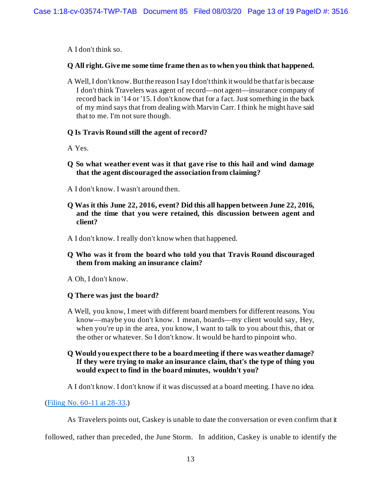A I don't think so.

# **Q All right. Give me some time frame then as to when you think that happened.**

A Well, I don't know. But the reason I say I don't think it would be that far is because I don't think Travelers was agent of record—not agent—insurance company of record back in '14 or '15. I don't know that for a fact. Just something in the back of my mind says that from dealing with Marvin Carr. I think he might have said that to me. I'm not sure though.

## **Q Is Travis Round still the agent of record?**

- A Yes.
- **Q So what weather event was it that gave rise to this hail and wind damage that the agent discouraged the association from claiming?**
- A I don't know. I wasn't around then.
- **Q Was it this June 22, 2016, event? Did this all happen between June 22, 2016, and the time that you were retained, this discussion between agent and client?**
- A I don't know. I really don't know when that happened.
- **Q Who was it from the board who told you that Travis Round discouraged them from making an insurance claim?**
- A Oh, I don't know.

# **Q There was just the board?**

- A Well, you know, I meet with different board members for different reasons. You know—maybe you don't know. I mean, boards—my client would say, Hey, when you're up in the area, you know, I want to talk to you about this, that or the other or whatever. So I don't know. It would be hard to pinpoint who.
- **Q Would you expect there to be a board meeting if there was weather damage? If they were trying to make an insurance claim, that's the type of thing you would expect to find in the board minutes, wouldn't you?**

A I don't know. I don't know if it was discussed at a board meeting. I have no idea.

[\(Filing No. 60-11 at 28-33](https://ecf.insd.uscourts.gov/doc1/07317933921?page=28).)

As Travelers points out, Caskey is unable to date the conversation or even confirm that it

followed, rather than preceded, the June Storm. In addition, Caskey is unable to identify the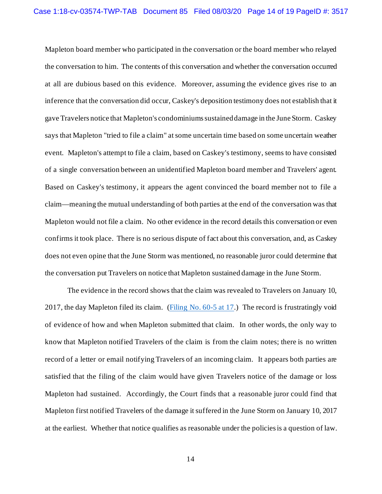Mapleton board member who participated in the conversation or the board member who relayed the conversation to him. The contents of this conversation and whether the conversation occurred at all are dubious based on this evidence. Moreover, assuming the evidence gives rise to an inference that the conversation did occur, Caskey's deposition testimony does not establish that it gave Travelers notice that Mapleton's condominiums sustained damage in the June Storm. Caskey says that Mapleton "tried to file a claim" at some uncertain time based on some uncertain weather event. Mapleton's attempt to file a claim, based on Caskey's testimony, seems to have consisted of a single conversation between an unidentified Mapleton board member and Travelers' agent. Based on Caskey's testimony, it appears the agent convinced the board member not to file a claim—meaning the mutual understanding of both parties at the end of the conversation was that Mapleton would not file a claim. No other evidence in the record details this conversation or even confirms it took place. There is no serious dispute of fact about this conversation, and, as Caskey does not even opine that the June Storm was mentioned, no reasonable juror could determine that the conversation put Travelers on notice that Mapleton sustained damage in the June Storm.

The evidence in the record shows that the claim was revealed to Travelers on January 10, 2017, the day Mapleton filed its claim. (Filing No.  $60-5$  at 17.) The record is frustratingly void of evidence of how and when Mapleton submitted that claim. In other words, the only way to know that Mapleton notified Travelers of the claim is from the claim notes; there is no written record of a letter or email notifying Travelers of an incoming claim. It appears both parties are satisfied that the filing of the claim would have given Travelers notice of the damage or loss Mapleton had sustained. Accordingly, the Court finds that a reasonable juror could find that Mapleton first notified Travelers of the damage it suffered in the June Storm on January 10, 2017 at the earliest. Whether that notice qualifies as reasonable under the policies is a question of law.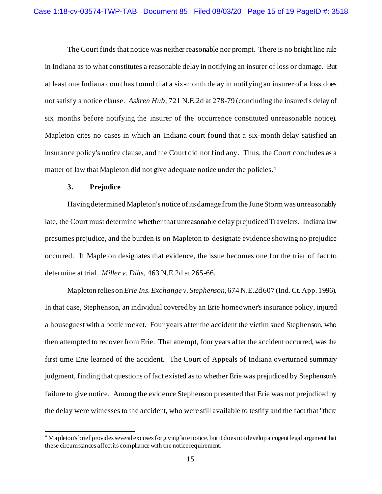The Court finds that notice was neither reasonable nor prompt. There is no bright line rule in Indiana as to what constitutes a reasonable delay in notifying an insurer of loss or damage. But at least one Indiana court has found that a six-month delay in notifying an insurer of a loss does not satisfy a notice clause. *Askren Hub*, 721 N.E.2d at 278-79 (concluding the insured's delay of six months before notifying the insurer of the occurrence constituted unreasonable notice). Mapleton cites no cases in which an Indiana court found that a six-month delay satisfied an insurance policy's notice clause, and the Court did not find any. Thus, the Court concludes as a matter of law that Mapleton did not give adequate notice under the policies.<sup>4</sup>

### **3. Prejudice**

Having determined Mapleton's notice of its damage from the June Storm was unreasonably late, the Court must determine whether that unreasonable delay prejudiced Travelers. Indiana law presumes prejudice, and the burden is on Mapleton to designate evidence showing no prejudice occurred. If Mapleton designates that evidence, the issue becomes one for the trier of fact to determine at trial. *Miller v. Dilts*, 463 N.E.2d at 265-66.

Mapleton relies on *Erie Ins. Exchange v. Stephenson*, 674 N.E.2d 607 (Ind. Ct. App. 1996). In that case, Stephenson, an individual covered by an Erie homeowner's insurance policy, injured a houseguest with a bottle rocket. Four years after the accident the victim sued Stephenson, who then attempted to recover from Erie. That attempt, four years after the accident occurred, was the first time Erie learned of the accident. The Court of Appeals of Indiana overturned summary judgment, finding that questions of fact existed as to whether Erie was prejudiced by Stephenson's failure to give notice. Among the evidence Stephenson presented that Erie was not prejudiced by the delay were witnesses to the accident, who were still available to testify and the fact that "there

<span id="page-14-0"></span><sup>4</sup> Mapleton's brief provides several excuses for giving late notice, but it does not develop a cogent legal argument that these circumstances affect its compliance with the notice requirement.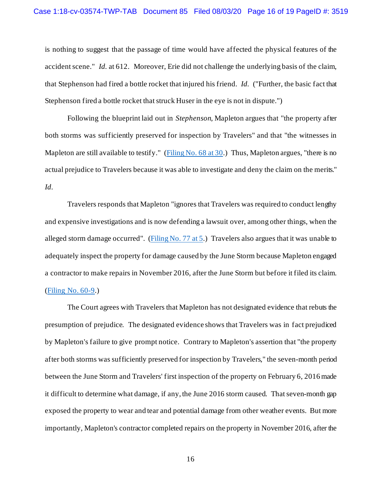is nothing to suggest that the passage of time would have affected the physical features of the accident scene." *Id.* at 612. Moreover, Erie did not challenge the underlying basis of the claim, that Stephenson had fired a bottle rocket that injured his friend. *Id.* ("Further, the basic fact that Stephenson fired a bottle rocket that struck Huser in the eye is not in dispute.")

Following the blueprint laid out in *Stephenson*, Mapleton argues that "the property after both storms was sufficiently preserved for inspection by Travelers" and that "the witnesses in Mapleton are still available to testify." [\(Filing No. 68 at 30.](https://ecf.insd.uscourts.gov/doc1/07317999246?page=30)) Thus, Mapleton argues, "there is no actual prejudice to Travelers because it was able to investigate and deny the claim on the merits." *Id.*

Travelers responds that Mapleton "ignores that Travelers was required to conduct lengthy and expensive investigations and is now defending a lawsuit over, among other things, when the alleged storm damage occurred". [\(Filing No. 77 at 5.](https://ecf.insd.uscourts.gov/doc1/07318037377?page=5)) Travelers also argues that it was unable to adequately inspect the property for damage caused by the June Storm because Mapleton engaged a contractor to make repairs in November 2016, after the June Storm but before it filed its claim. [\(Filing No. 60-9.](https://ecf.insd.uscourts.gov/doc1/07317933919))

The Court agrees with Travelers that Mapleton has not designated evidence that rebuts the presumption of prejudice. The designated evidence shows that Travelers was in fact prejudiced by Mapleton's failure to give prompt notice. Contrary to Mapleton's assertion that "the property after both storms was sufficiently preserved for inspection by Travelers," the seven-month period between the June Storm and Travelers' first inspection of the property on February 6, 2016 made it difficult to determine what damage, if any, the June 2016 storm caused. That seven-month gap exposed the property to wear and tear and potential damage from other weather events. But more importantly, Mapleton's contractor completed repairs on the property in November 2016, after the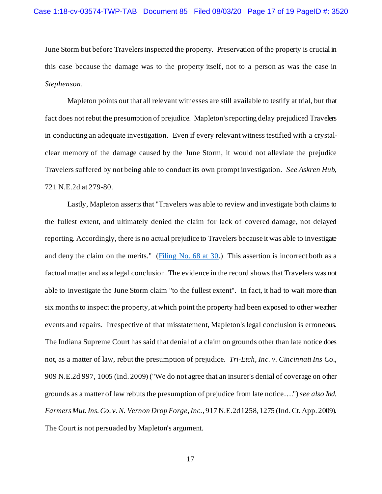June Storm but before Travelers inspected the property. Preservation of the property is crucial in this case because the damage was to the property itself, not to a person as was the case in *Stephenson*.

Mapleton points out that all relevant witnesses are still available to testify at trial, but that fact does not rebut the presumption of prejudice. Mapleton's reporting delay prejudiced Travelers in conducting an adequate investigation. Even if every relevant witness testified with a crystalclear memory of the damage caused by the June Storm, it would not alleviate the prejudice Travelers suffered by not being able to conduct its own prompt investigation. *See Askren Hub*, 721 N.E.2d at 279-80.

Lastly, Mapleton asserts that "Travelers was able to review and investigate both claims to the fullest extent, and ultimately denied the claim for lack of covered damage, not delayed reporting. Accordingly, there is no actual prejudice to Travelers because it was able to investigate and deny the claim on the merits." [\(Filing No. 68 at 30.](https://ecf.insd.uscourts.gov/doc1/07317999246?page=30)) This assertion is incorrect both as a factual matter and as a legal conclusion. The evidence in the record shows that Travelers was not able to investigate the June Storm claim "to the fullest extent". In fact, it had to wait more than six months to inspect the property, at which point the property had been exposed to other weather events and repairs. Irrespective of that misstatement, Mapleton's legal conclusion is erroneous. The Indiana Supreme Court has said that denial of a claim on grounds other than late notice does not, as a matter of law, rebut the presumption of prejudice. *Tri-Etch, Inc. v. Cincinnati Ins Co.*, 909 N.E.2d 997, 1005 (Ind. 2009) ("We do not agree that an insurer's denial of coverage on other grounds as a matter of law rebuts the presumption of prejudice from late notice….") *see also Ind. Farmers Mut. Ins. Co. v. N. Vernon Drop Forge, Inc.*, 917 N.E.2d 1258, 1275 (Ind. Ct. App. 2009). The Court is not persuaded by Mapleton's argument.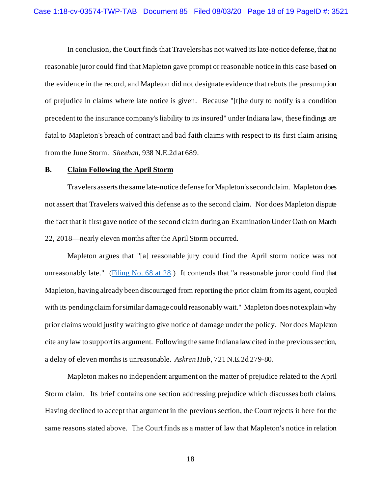In conclusion, the Court finds that Travelers has not waived its late-notice defense, that no reasonable juror could find that Mapleton gave prompt or reasonable notice in this case based on the evidence in the record, and Mapleton did not designate evidence that rebuts the presumption of prejudice in claims where late notice is given. Because "[t]he duty to notify is a condition precedent to the insurance company's liability to its insured" under Indiana law, these findings are fatal to Mapleton's breach of contract and bad faith claims with respect to its first claim arising from the June Storm. *Sheehan*, 938 N.E.2d at 689.

#### **B. Claim Following the April Storm**

Travelers asserts the same late-notice defense for Mapleton's second claim. Mapleton does not assert that Travelers waived this defense as to the second claim. Nor does Mapleton dispute the fact that it first gave notice of the second claim during an Examination Under Oath on March 22, 2018—nearly eleven months after the April Storm occurred.

Mapleton argues that "[a] reasonable jury could find the April storm notice was not unreasonably late." (Filing No.  $68$  at  $28$ .) It contends that "a reasonable juror could find that Mapleton, having already been discouraged from reporting the prior claim from its agent, coupled with its pending claim for similar damage could reasonably wait." Mapleton does not explain why prior claims would justify waiting to give notice of damage under the policy. Nor does Mapleton cite any law to support its argument. Following the same Indiana law cited in the previous section, a delay of eleven months is unreasonable. *Askren Hub*, 721 N.E.2d 279-80.

Mapleton makes no independent argument on the matter of prejudice related to the April Storm claim. Its brief contains one section addressing prejudice which discusses both claims. Having declined to accept that argument in the previous section, the Court rejects it here for the same reasons stated above. The Court finds as a matter of law that Mapleton's notice in relation